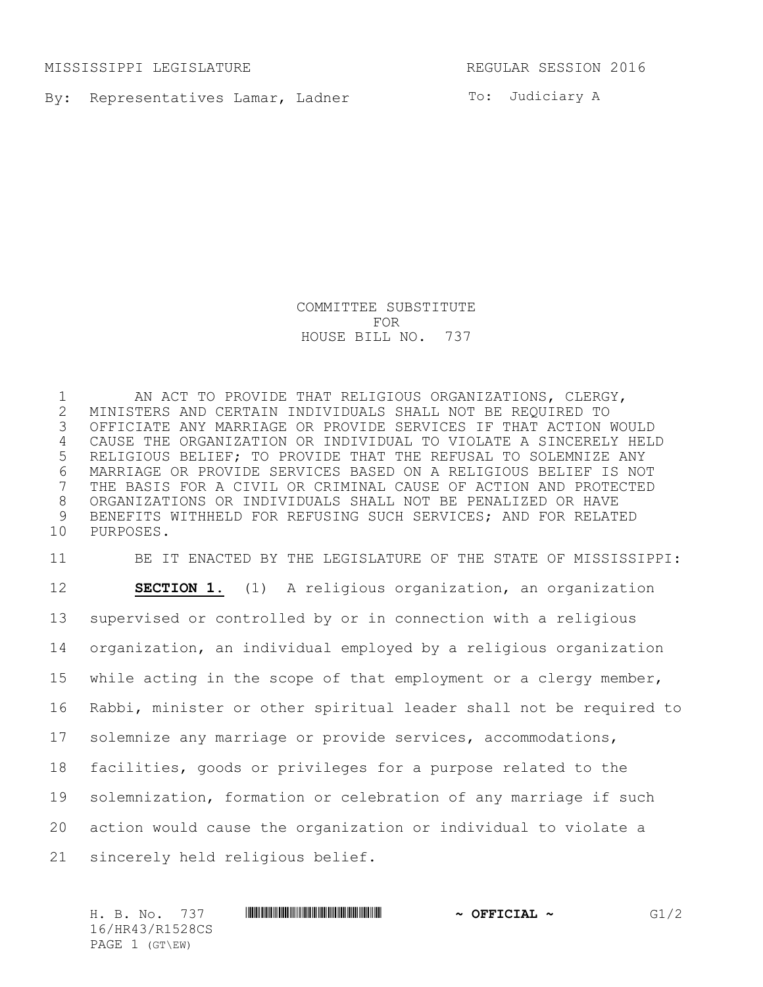MISSISSIPPI LEGISLATURE REGULAR SESSION 2016

By: Representatives Lamar, Ladner

To: Judiciary A

COMMITTEE SUBSTITUTE FOR HOUSE BILL NO. 737

 AN ACT TO PROVIDE THAT RELIGIOUS ORGANIZATIONS, CLERGY, MINISTERS AND CERTAIN INDIVIDUALS SHALL NOT BE REQUIRED TO OFFICIATE ANY MARRIAGE OR PROVIDE SERVICES IF THAT ACTION WOULD CAUSE THE ORGANIZATION OR INDIVIDUAL TO VIOLATE A SINCERELY HELD RELIGIOUS BELIEF; TO PROVIDE THAT THE REFUSAL TO SOLEMNIZE ANY MARRIAGE OR PROVIDE SERVICES BASED ON A RELIGIOUS BELIEF IS NOT THE BASIS FOR A CIVIL OR CRIMINAL CAUSE OF ACTION AND PROTECTED ORGANIZATIONS OR INDIVIDUALS SHALL NOT BE PENALIZED OR HAVE BENEFITS WITHHELD FOR REFUSING SUCH SERVICES; AND FOR RELATED PURPOSES.

 BE IT ENACTED BY THE LEGISLATURE OF THE STATE OF MISSISSIPPI: **SECTION 1.** (1) A religious organization, an organization supervised or controlled by or in connection with a religious organization, an individual employed by a religious organization 15 while acting in the scope of that employment or a clergy member, Rabbi, minister or other spiritual leader shall not be required to solemnize any marriage or provide services, accommodations, facilities, goods or privileges for a purpose related to the solemnization, formation or celebration of any marriage if such action would cause the organization or individual to violate a sincerely held religious belief.

H. B. No. 737 \*HR43/R1528CS\* **~ OFFICIAL ~** G1/2 16/HR43/R1528CS PAGE 1 (GT\EW)